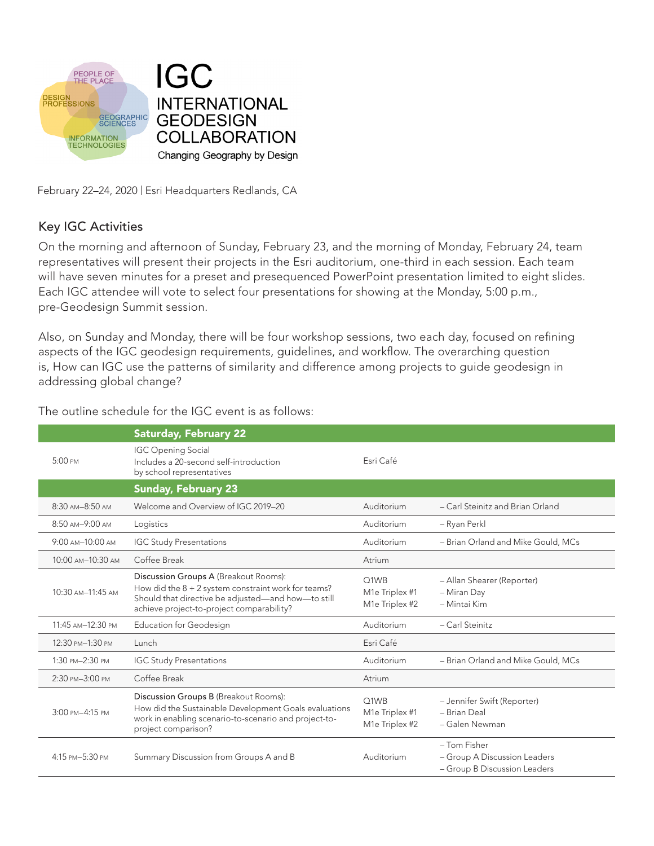

February 22-24, 2020 | Esri Headquarters Redlands, CA

#### Key IGC Activities

On the morning and afternoon of Sunday, February 23, and the morning of Monday, February 24, team representatives will present their projects in the Esri auditorium, one-third in each session. Each team will have seven minutes for a preset and presequenced PowerPoint presentation limited to eight slides. Each IGC attendee will vote to select four presentations for showing at the Monday, 5:00 p.m., pre-Geodesign Summit session.

Also, on Sunday and Monday, there will be four workshop sessions, two each day, focused on refining aspects of the IGC geodesign requirements, guidelines, and workflow. The overarching question is, How can IGC use the patterns of similarity and difference among projects to guide geodesign in addressing global change?

|                   | <b>Saturday, February 22</b>                                                                                                                                                                      |                                                       |                                                                              |
|-------------------|---------------------------------------------------------------------------------------------------------------------------------------------------------------------------------------------------|-------------------------------------------------------|------------------------------------------------------------------------------|
| 5:00 PM           | <b>IGC Opening Social</b><br>Includes a 20-second self-introduction<br>by school representatives                                                                                                  | Esri Café                                             |                                                                              |
|                   | <b>Sunday, February 23</b>                                                                                                                                                                        |                                                       |                                                                              |
| 8:30 AM-8:50 AM   | Welcome and Overview of IGC 2019-20                                                                                                                                                               | Auditorium                                            | - Carl Steinitz and Brian Orland                                             |
| 8:50 AM-9:00 AM   | Logistics                                                                                                                                                                                         | Auditorium                                            | - Ryan Perkl                                                                 |
| 9:00 AM-10:00 AM  | <b>IGC Study Presentations</b>                                                                                                                                                                    | Auditorium                                            | - Brian Orland and Mike Gould, MCs                                           |
| 10:00 AM-10:30 AM | Coffee Break                                                                                                                                                                                      | Atrium                                                |                                                                              |
| 10:30 AM-11:45 AM | Discussion Groups A (Breakout Rooms):<br>How did the $8 + 2$ system constraint work for teams?<br>Should that directive be adjusted-and how-to still<br>achieve project-to-project comparability? | Q1WB<br>M1e Triplex #1<br>M1e Triplex #2              | - Allan Shearer (Reporter)<br>- Miran Day<br>- Mintai Kim                    |
| 11:45 AM-12:30 PM | <b>Education for Geodesign</b>                                                                                                                                                                    | Auditorium                                            | - Carl Steinitz                                                              |
| 12:30 PM-1:30 PM  | Lunch                                                                                                                                                                                             | Esri Café                                             |                                                                              |
| 1:30 PM-2:30 PM   | <b>IGC Study Presentations</b>                                                                                                                                                                    | Auditorium                                            | - Brian Orland and Mike Gould, MCs                                           |
| 2:30 PM-3:00 PM   | Coffee Break                                                                                                                                                                                      | Atrium                                                |                                                                              |
| 3:00 PM-4:15 PM   | Discussion Groups B (Breakout Rooms):<br>How did the Sustainable Development Goals evaluations<br>work in enabling scenario-to-scenario and project-to-<br>project comparison?                    | Q1WB<br>M1e Triplex #1<br>M <sub>1</sub> e Triplex #2 | - Jennifer Swift (Reporter)<br>- Brian Deal<br>- Galen Newman                |
| 4:15 PM-5:30 PM   | Summary Discussion from Groups A and B                                                                                                                                                            | Auditorium                                            | - Tom Fisher<br>- Group A Discussion Leaders<br>- Group B Discussion Leaders |

The outline schedule for the IGC event is as follows: